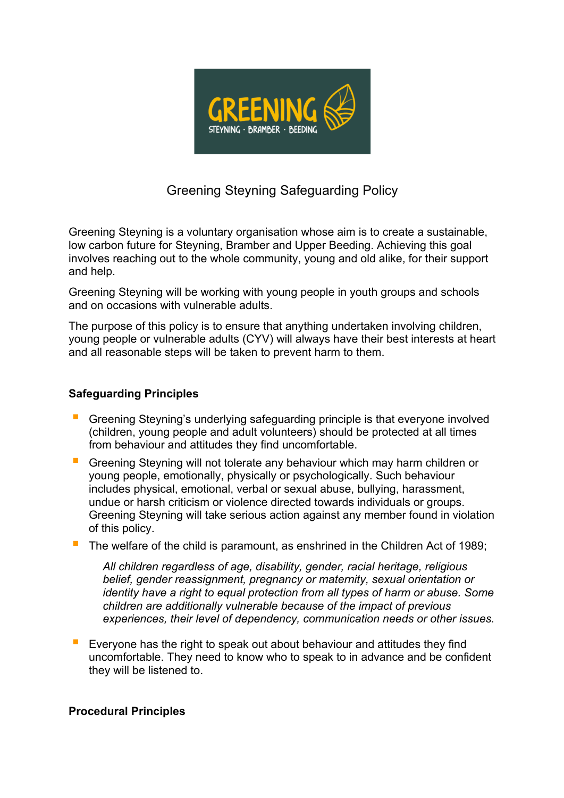

# Greening Steyning Safeguarding Policy

Greening Steyning is a voluntary organisation whose aim is to create a sustainable, low carbon future for Steyning, Bramber and Upper Beeding. Achieving this goal involves reaching out to the whole community, young and old alike, for their support and help.

Greening Steyning will be working with young people in youth groups and schools and on occasions with vulnerable adults.

The purpose of this policy is to ensure that anything undertaken involving children, young people or vulnerable adults (CYV) will always have their best interests at heart and all reasonable steps will be taken to prevent harm to them.

#### **Safeguarding Principles**

- § Greening Steyning's underlying safeguarding principle is that everyone involved (children, young people and adult volunteers) should be protected at all times from behaviour and attitudes they find uncomfortable.
- § Greening Steyning will not tolerate any behaviour which may harm children or young people, emotionally, physically or psychologically. Such behaviour includes physical, emotional, verbal or sexual abuse, bullying, harassment, undue or harsh criticism or violence directed towards individuals or groups. Greening Steyning will take serious action against any member found in violation of this policy.
- The welfare of the child is paramount, as enshrined in the Children Act of 1989;

*All children regardless of age, disability, gender, racial heritage, religious belief, gender reassignment, pregnancy or maternity, sexual orientation or identity have a right to equal protection from all types of harm or abuse. Some children are additionally vulnerable because of the impact of previous experiences, their level of dependency, communication needs or other issues.*

§ Everyone has the right to speak out about behaviour and attitudes they find uncomfortable. They need to know who to speak to in advance and be confident they will be listened to.

### **Procedural Principles**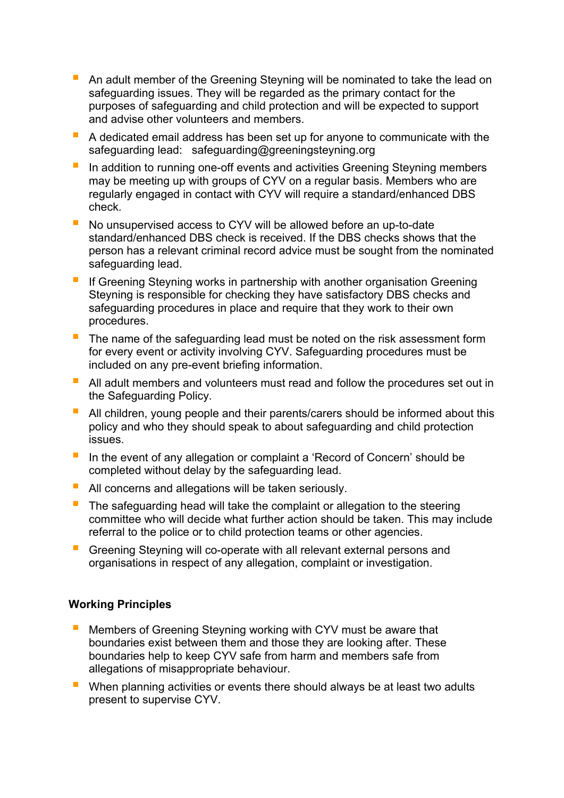- An adult member of the Greening Steyning will be nominated to take the lead on safeguarding issues. They will be regarded as the primary contact for the purposes of safeguarding and child protection and will be expected to support and advise other volunteers and members.
- § A dedicated email address has been set up for anyone to communicate with the safeguarding lead: safeguarding@greeningsteyning.org
- In addition to running one-off events and activities Greening Steyning members may be meeting up with groups of CYV on a regular basis. Members who are regularly engaged in contact with CYV will require a standard/enhanced DBS check.
- No unsupervised access to CYV will be allowed before an up-to-date standard/enhanced DBS check is received. If the DBS checks shows that the person has a relevant criminal record advice must be sought from the nominated safeguarding lead.
- If Greening Steyning works in partnership with another organisation Greening Steyning is responsible for checking they have satisfactory DBS checks and safeguarding procedures in place and require that they work to their own procedures.
- The name of the safeguarding lead must be noted on the risk assessment form for every event or activity involving CYV. Safeguarding procedures must be included on any pre-event briefing information.
- All adult members and volunteers must read and follow the procedures set out in the Safeguarding Policy.
- All children, young people and their parents/carers should be informed about this policy and who they should speak to about safeguarding and child protection issues.
- In the event of any allegation or complaint a 'Record of Concern' should be completed without delay by the safeguarding lead.
- All concerns and allegations will be taken seriously.
- The safeguarding head will take the complaint or allegation to the steering committee who will decide what further action should be taken. This may include referral to the police or to child protection teams or other agencies.
- § Greening Steyning will co-operate with all relevant external persons and organisations in respect of any allegation, complaint or investigation.

### **Working Principles**

- Members of Greening Steyning working with CYV must be aware that boundaries exist between them and those they are looking after. These boundaries help to keep CYV safe from harm and members safe from allegations of misappropriate behaviour.
- When planning activities or events there should always be at least two adults present to supervise CYV.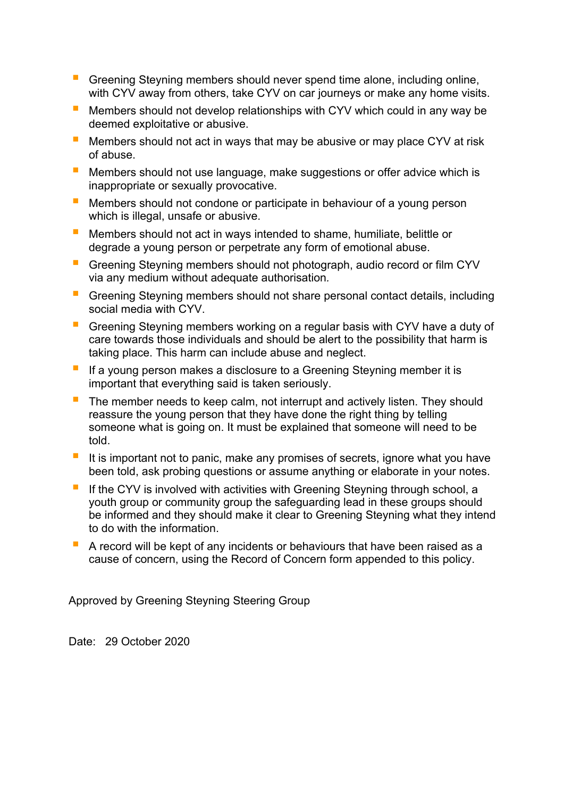- Greening Steyning members should never spend time alone, including online, with CYV away from others, take CYV on car journeys or make any home visits.
- § Members should not develop relationships with CYV which could in any way be deemed exploitative or abusive.
- E Members should not act in ways that may be abusive or may place CYV at risk of abuse.
- Members should not use language, make suggestions or offer advice which is inappropriate or sexually provocative.
- Members should not condone or participate in behaviour of a young person which is illegal, unsafe or abusive.
- § Members should not act in ways intended to shame, humiliate, belittle or degrade a young person or perpetrate any form of emotional abuse.
- § Greening Steyning members should not photograph, audio record or film CYV via any medium without adequate authorisation*.*
- Greening Steyning members should not share personal contact details, including social media with CYV.
- Greening Steyning members working on a regular basis with CYV have a duty of care towards those individuals and should be alert to the possibility that harm is taking place. This harm can include abuse and neglect.
- If a young person makes a disclosure to a Greening Steyning member it is important that everything said is taken seriously.
- The member needs to keep calm, not interrupt and actively listen. They should reassure the young person that they have done the right thing by telling someone what is going on. It must be explained that someone will need to be told.
- It is important not to panic, make any promises of secrets, ignore what you have been told, ask probing questions or assume anything or elaborate in your notes.
- If the CYV is involved with activities with Greening Steyning through school, a youth group or community group the safeguarding lead in these groups should be informed and they should make it clear to Greening Steyning what they intend to do with the information.
- A record will be kept of any incidents or behaviours that have been raised as a cause of concern, using the Record of Concern form appended to this policy.

Approved by Greening Steyning Steering Group

Date: 29 October 2020